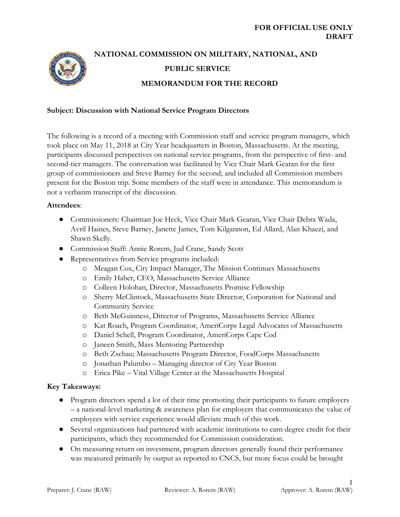

# **NATIONAL COMMISSION ON MILITARY, NATIONAL, AND PUBLIC SERVICE MEMORANDUM FOR THE RECORD**

## **Subject: Discussion with National Service Program Directors**

The following is a record of a meeting with Commission staff and service program managers, which took place on May 11, 2018 at City Year headquarters in Boston, Massachusetts. At the meeting, participants discussed perspectives on national service programs, from the perspective of first- and second-tier managers. The conversation was facilitated by Vice Chair Mark Gearan for the first group of commissioners and Steve Barney for the second; and included all Commission members present for the Boston trip. Some members of the staff were in attendance. This memorandum is not a verbatim transcript of the discussion.

#### **Attendees**:

- Commissioners: Chairman Joe Heck, Vice Chair Mark Gearan, Vice Chair Debra Wada, Avril Haines, Steve Barney, Janette James, Tom Kilgannon, Ed Allard, Alan Khaezi, and Shawn Skelly.
- Commission Staff: Annie Rorem, Jud Crane, Sandy Scott
- Representatives from Service programs included:
	- o Meagan Cox, City Impact Manager, The Mission Continues Massachusetts
	- o Emily Haber, CEO, Massachusetts Service Alliance
	- o Colleen Holohan, Director, Massachusetts Promise Fellowship
	- o Sherry McClintock, Massachusetts State Director, Corporation for National and Community Service
	- o Beth McGuinness, Director of Programs, Massachusetts Service Alliance
	- o Kat Roach, Program Coordinator, AmeriCorps Legal Advocates of Massachusetts
	- o Daniel Schell, Program Coordinator, AmeriCorps Cape Cod
	- o Janeen Smith, Mass Mentoring Partnership
	- o Beth Zschau; Massachusetts Program Director, FoodCorps Massachusetts
	- o Jonathan Palumbo Managing director of City Year Boston
	- o Erica Pike Vital Village Center at the Massachusetts Hospital

## **Key Takeaways:**

- Program directors spend a lot of their time promoting their participants to future employers – a national-level marketing & awareness plan for employers that communicates the value of employees with service experience would alleviate much of this work.
- Several organizations had partnered with academic institutions to earn degree credit for their participants, which they recommended for Commission consideration.
- On measuring return on investment, program directors generally found their performance was measured primarily by output as reported to CNCS, but more focus could be brought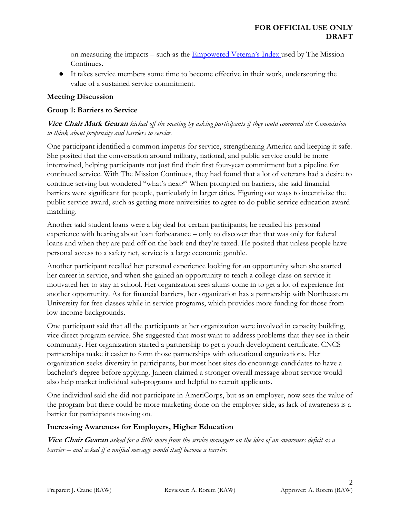on measuring the impacts – such as the [Empowered Veteran's Index](http://www.missioncontinuesblog.org/wp-content/uploads/2017/12/EVI-One-Pager.pdf) used by The Mission Continues.

● It takes service members some time to become effective in their work, underscoring the value of a sustained service commitment.

# **Meeting Discussion**

## **Group 1: Barriers to Service**

# **Vice Chair Mark Gearan** *kicked off the meeting by asking participants if they could commend the Commission to think about propensity and barriers to service.*

One participant identified a common impetus for service, strengthening America and keeping it safe. She posited that the conversation around military, national, and public service could be more intertwined, helping participants not just find their first four-year commitment but a pipeline for continued service. With The Mission Continues, they had found that a lot of veterans had a desire to continue serving but wondered "what's next?" When prompted on barriers, she said financial barriers were significant for people, particularly in larger cities. Figuring out ways to incentivize the public service award, such as getting more universities to agree to do public service education award matching.

Another said student loans were a big deal for certain participants; he recalled his personal experience with hearing about loan forbearance – only to discover that that was only for federal loans and when they are paid off on the back end they're taxed. He posited that unless people have personal access to a safety net, service is a large economic gamble.

Another participant recalled her personal experience looking for an opportunity when she started her career in service, and when she gained an opportunity to teach a college class on service it motivated her to stay in school. Her organization sees alums come in to get a lot of experience for another opportunity. As for financial barriers, her organization has a partnership with Northeastern University for free classes while in service programs, which provides more funding for those from low-income backgrounds.

One participant said that all the participants at her organization were involved in capacity building, vice direct program service. She suggested that most want to address problems that they see in their community. Her organization started a partnership to get a youth development certificate. CNCS partnerships make it easier to form those partnerships with educational organizations. Her organization seeks diversity in participants, but most host sites do encourage candidates to have a bachelor's degree before applying. Janeen claimed a stronger overall message about service would also help market individual sub-programs and helpful to recruit applicants.

One individual said she did not participate in AmeriCorps, but as an employer, now sees the value of the program but there could be more marketing done on the employer side, as lack of awareness is a barrier for participants moving on.

## **Increasing Awareness for Employers, Higher Education**

**Vice Chair Gearan** *asked for a little more from the service managers on the idea of an awareness deficit as a barrier – and asked if a unified message would itself become a barrier.*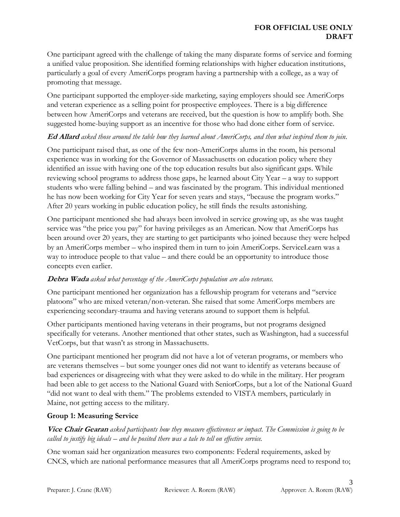One participant agreed with the challenge of taking the many disparate forms of service and forming a unified value proposition. She identified forming relationships with higher education institutions, particularly a goal of every AmeriCorps program having a partnership with a college, as a way of promoting that message.

One participant supported the employer-side marketing, saying employers should see AmeriCorps and veteran experience as a selling point for prospective employees. There is a big difference between how AmeriCorps and veterans are received, but the question is how to amplify both. She suggested home-buying support as an incentive for those who had done either form of service.

# **Ed Allard** *asked those around the table how they learned about AmeriCorps, and then what inspired them to join.*

One participant raised that, as one of the few non-AmeriCorps alums in the room, his personal experience was in working for the Governor of Massachusetts on education policy where they identified an issue with having one of the top education results but also significant gaps. While reviewing school programs to address those gaps, he learned about City Year – a way to support students who were falling behind – and was fascinated by the program. This individual mentioned he has now been working for City Year for seven years and stays, "because the program works." After 20 years working in public education policy, he still finds the results astonishing.

One participant mentioned she had always been involved in service growing up, as she was taught service was "the price you pay" for having privileges as an American. Now that AmeriCorps has been around over 20 years, they are starting to get participants who joined because they were helped by an AmeriCorps member – who inspired them in turn to join AmeriCorps. ServiceLearn was a way to introduce people to that value – and there could be an opportunity to introduce those concepts even earlier.

# **Debra Wada** *asked what percentage of the AmeriCorps population are also veterans.*

One participant mentioned her organization has a fellowship program for veterans and "service platoons" who are mixed veteran/non-veteran. She raised that some AmeriCorps members are experiencing secondary-trauma and having veterans around to support them is helpful.

Other participants mentioned having veterans in their programs, but not programs designed specifically for veterans. Another mentioned that other states, such as Washington, had a successful VetCorps, but that wasn't as strong in Massachusetts.

One participant mentioned her program did not have a lot of veteran programs, or members who are veterans themselves – but some younger ones did not want to identify as veterans because of bad experiences or disagreeing with what they were asked to do while in the military. Her program had been able to get access to the National Guard with SeniorCorps, but a lot of the National Guard "did not want to deal with them." The problems extended to VISTA members, particularly in Maine, not getting access to the military.

# **Group 1: Measuring Service**

**Vice Chair Gearan** *asked participants how they measure effectiveness or impact. The Commission is going to be called to justify big ideals – and he posited there was a tale to tell on effective service.*

One woman said her organization measures two components: Federal requirements, asked by CNCS, which are national performance measures that all AmeriCorps programs need to respond to;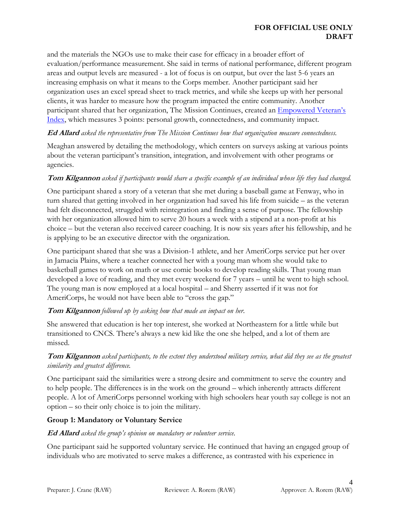## **FOR OFFICIAL USE ONLY DRAFT**

and the materials the NGOs use to make their case for efficacy in a broader effort of evaluation/performance measurement. She said in terms of national performance, different program areas and output levels are measured - a lot of focus is on output, but over the last 5-6 years an increasing emphasis on what it means to the Corps member. Another participant said her organization uses an excel spread sheet to track metrics, and while she keeps up with her personal clients, it was harder to measure how the program impacted the entire community. Another participant shared that her organization, The Mission Continues, created an [Empowered Vet](http://www.missioncontinuesblog.org/wp-content/uploads/2017/12/EVI-One-Pager.pdf)eran's [Index,](http://www.missioncontinuesblog.org/wp-content/uploads/2017/12/EVI-One-Pager.pdf) which measures 3 points: personal growth, connectedness, and community impact.

## **Ed Allard** *asked the representative from The Mission Continues how that organization measure connectedness.*

Meaghan answered by detailing the methodology, which centers on surveys asking at various points about the veteran participant's transition, integration, and involvement with other programs or agencies.

# **Tom Kilgannon** *asked if participants would share a specific example of an individual whose life they had changed.*

One participant shared a story of a veteran that she met during a baseball game at Fenway, who in turn shared that getting involved in her organization had saved his life from suicide – as the veteran had felt disconnected, struggled with reintegration and finding a sense of purpose. The fellowship with her organization allowed him to serve 20 hours a week with a stipend at a non-profit at his choice – but the veteran also received career coaching. It is now six years after his fellowship, and he is applying to be an executive director with the organization.

One participant shared that she was a Division-1 athlete, and her AmeriCorps service put her over in Jamacia Plains, where a teacher connected her with a young man whom she would take to basketball games to work on math or use comic books to develop reading skills. That young man developed a love of reading, and they met every weekend for 7 years – until he went to high school. The young man is now employed at a local hospital – and Sherry asserted if it was not for AmeriCorps, he would not have been able to "cross the gap."

# **Tom Kilgannon** *followed up by asking how that made an impact on her.*

She answered that education is her top interest, she worked at Northeastern for a little while but transitioned to CNCS. There's always a new kid like the one she helped, and a lot of them are missed.

# **Tom Kilgannon** *asked participants, to the extent they understood military service, what did they see as the greatest similarity and greatest difference.*

One participant said the similarities were a strong desire and commitment to serve the country and to help people. The differences is in the work on the ground – which inherently attracts different people. A lot of AmeriCorps personnel working with high schoolers hear youth say college is not an option – so their only choice is to join the military.

## **Group 1: Mandatory or Voluntary Service**

## **Ed Allard** *asked the group's opinion on mandatory or volunteer service.*

One participant said he supported voluntary service. He continued that having an engaged group of individuals who are motivated to serve makes a difference, as contrasted with his experience in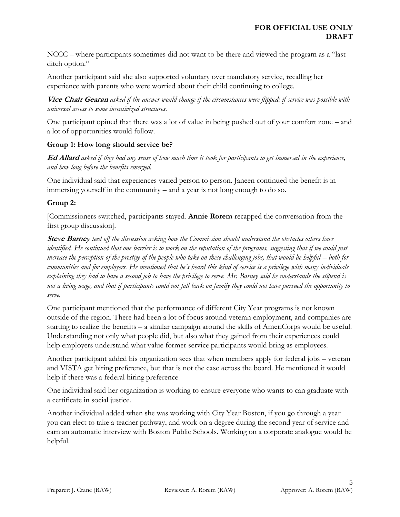NCCC – where participants sometimes did not want to be there and viewed the program as a "lastditch option."

Another participant said she also supported voluntary over mandatory service, recalling her experience with parents who were worried about their child continuing to college.

**Vice Chair Gearan** *asked if the answer would change if the circumstances were flipped: if service was possible with universal access to some incentivized structures.*

One participant opined that there was a lot of value in being pushed out of your comfort zone – and a lot of opportunities would follow.

# **Group 1: How long should service be?**

**Ed Allard** *asked if they had any sense of how much time it took for participants to get immersed in the experience, and how long before the benefits emerged.*

One individual said that experiences varied person to person. Janeen continued the benefit is in immersing yourself in the community – and a year is not long enough to do so.

# **Group 2:**

[Commissioners switched, participants stayed. **Annie Rorem** recapped the conversation from the first group discussion].

**Steve Barney** *teed off the discussion asking how the Commission should understand the obstacles others have identified. He continued that one barrier is to work on the reputation of the programs, suggesting that if we could just increase the perception of the prestige of the people who take on these challenging jobs, that would be helpful – both for communities and for employers. He mentioned that he's heard this kind of service is a privilege with many individuals explaining they had to have a second job to have the privilege to serve. Mr. Barney said he understands the stipend is not a living wage, and that if participants could not fall back on family they could not have pursued the opportunity to serve.* 

One participant mentioned that the performance of different City Year programs is not known outside of the region. There had been a lot of focus around veteran employment, and companies are starting to realize the benefits – a similar campaign around the skills of AmeriCorps would be useful. Understanding not only what people did, but also what they gained from their experiences could help employers understand what value former service participants would bring as employees.

Another participant added his organization sees that when members apply for federal jobs – veteran and VISTA get hiring preference, but that is not the case across the board. He mentioned it would help if there was a federal hiring preference

One individual said her organization is working to ensure everyone who wants to can graduate with a certificate in social justice.

Another individual added when she was working with City Year Boston, if you go through a year you can elect to take a teacher pathway, and work on a degree during the second year of service and earn an automatic interview with Boston Public Schools. Working on a corporate analogue would be helpful.